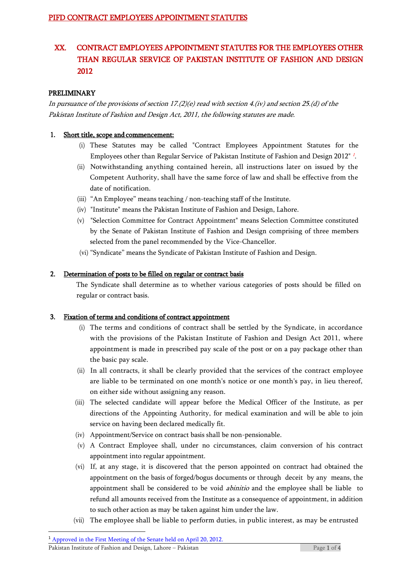# XX. CONTRACT EMPLOYEES APPOINTMENT STATUTES FOR THE EMPLOYEES OTHER THAN REGULAR SERVICE OF PAKISTAN INSTITUTE OF FASHION AND DESIGN 2012

#### PRELIMINARY

In pursuance of the provisions of section 17.(2)(e) read with section 4.(iv) and section 25.(d) of the Pakistan Institute of Fashion and Design Act, 2011, the following statutes are made.

#### 1. Short title, scope and commencement:

- (i) These Statutes may be called "Contract Employees Appointment Statutes for the Employees other than Regular Service of Pakistan Institute of Fashion and Design 2012" <sup>1</sup> .
- (ii) Notwithstanding anything contained herein, all instructions later on issued by the Competent Authority, shall have the same force of law and shall be effective from the date of notification.
- (iii) "An Employee" means teaching / non-teaching staff of the Institute.
- (iv) "Institute" means the Pakistan Institute of Fashion and Design, Lahore.
- (v) "Selection Committee for Contract Appointment" means Selection Committee constituted by the Senate of Pakistan Institute of Fashion and Design comprising of three members selected from the panel recommended by the Vice-Chancellor.
- (vi) "Syndicate" means the Syndicate of Pakistan Institute of Fashion and Design.

#### 2. Determination of posts to be filled on regular or contract basis

The Syndicate shall determine as to whether various categories of posts should be filled on regular or contract basis.

#### 3. Fixation of terms and conditions of contract appointment

- (i) The terms and conditions of contract shall be settled by the Syndicate, in accordance with the provisions of the Pakistan Institute of Fashion and Design Act 2011, where appointment is made in prescribed pay scale of the post or on a pay package other than the basic pay scale.
- (ii) In all contracts, it shall be clearly provided that the services of the contract employee are liable to be terminated on one month's notice or one month's pay, in lieu thereof, on either side without assigning any reason.
- (iii) The selected candidate will appear before the Medical Officer of the Institute, as per directions of the Appointing Authority, for medical examination and will be able to join service on having been declared medically fit.
- (iv) Appointment/Service on contract basis shall be non-pensionable.
- (v) A Contract Employee shall, under no circumstances, claim conversion of his contract appointment into regular appointment.
- (vi) If, at any stage, it is discovered that the person appointed on contract had obtained the appointment on the basis of forged/bogus documents or through deceit by any means, the appointment shall be considered to be void *abinitio* and the employee shall be liable to refund all amounts received from the Institute as a consequence of appointment, in addition to such other action as may be taken against him under the law.
- (vii) The employee shall be liable to perform duties, in public interest, as may be entrusted

**.** 

<sup>&</sup>lt;sup>1</sup> Approved in the First Meeting of the Senate held on April 20, 2012.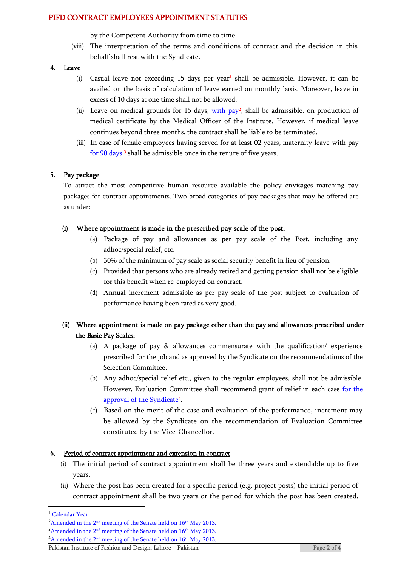by the Competent Authority from time to time.

(viii) The interpretation of the terms and conditions of contract and the decision in this behalf shall rest with the Syndicate.

#### 4. Leave

- (i) Casual leave not exceeding 15 days per year<sup>1</sup> shall be admissible. However, it can be availed on the basis of calculation of leave earned on monthly basis. Moreover, leave in excess of 10 days at one time shall not be allowed.
- (ii) Leave on medical grounds for 15 days, with  $pay^2$ , shall be admissible, on production of medical certificate by the Medical Officer of the Institute. However, if medical leave continues beyond three months, the contract shall be liable to be terminated.
- (iii) In case of female employees having served for at least 02 years, maternity leave with pay for 90 days <sup>3</sup> shall be admissible once in the tenure of five years.

## 5. Pay package

To attract the most competitive human resource available the policy envisages matching pay packages for contract appointments. Two broad categories of pay packages that may be offered are as under:

## (i) Where appointment is made in the prescribed pay scale of the post:

- (a) Package of pay and allowances as per pay scale of the Post, including any adhoc/special relief, etc.
- (b) 30% of the minimum of pay scale as social security benefit in lieu of pension.
- (c) Provided that persons who are already retired and getting pension shall not be eligible for this benefit when re-employed on contract.
- (d) Annual increment admissible as per pay scale of the post subject to evaluation of performance having been rated as very good.

## (ii) Where appointment is made on pay package other than the pay and allowances prescribed under the Basic Pay Scales:

- (a) A package of pay & allowances commensurate with the qualification/ experience prescribed for the job and as approved by the Syndicate on the recommendations of the Selection Committee.
- (b) Any adhoc/special relief etc., given to the regular employees, shall not be admissible. However, Evaluation Committee shall recommend grant of relief in each case for the approval of the Syndicate<sup>4</sup> .
- (c) Based on the merit of the case and evaluation of the performance, increment may be allowed by the Syndicate on the recommendation of Evaluation Committee constituted by the Vice-Chancellor.

## 6. Period of contract appointment and extension in contract

- (i) The initial period of contract appointment shall be three years and extendable up to five years.
- (ii) Where the post has been created for a specific period (e.g. project posts) the initial period of contract appointment shall be two years or the period for which the post has been created,

1

<sup>&</sup>lt;sup>1</sup> Calendar Year

 $2A$ mended in the  $2<sup>nd</sup>$  meeting of the Senate held on  $16<sup>th</sup>$  May 2013.

<sup>&</sup>lt;sup>3</sup>Amended in the 2<sup>nd</sup> meeting of the Senate held on 16<sup>th</sup> May 2013.

<sup>&</sup>lt;sup>4</sup>Amended in the 2<sup>nd</sup> meeting of the Senate held on 16<sup>th</sup> May 2013.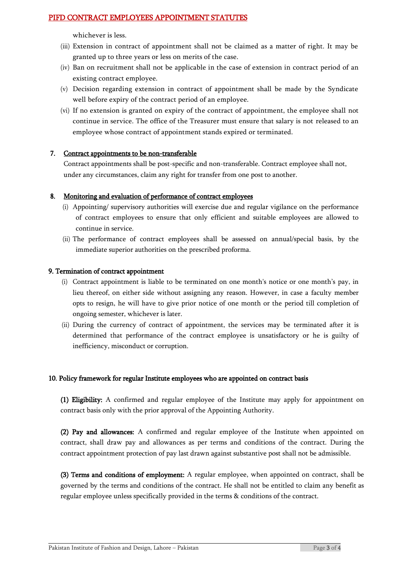whichever is less.

- (iii) Extension in contract of appointment shall not be claimed as a matter of right. It may be granted up to three years or less on merits of the case.
- (iv) Ban on recruitment shall not be applicable in the case of extension in contract period of an existing contract employee.
- (v) Decision regarding extension in contract of appointment shall be made by the Syndicate well before expiry of the contract period of an employee.
- (vi) If no extension is granted on expiry of the contract of appointment, the employee shall not continue in service. The office of the Treasurer must ensure that salary is not released to an employee whose contract of appointment stands expired or terminated.

#### 7. Contract appointments to be non-transferable

Contract appointments shall be post-specific and non-transferable. Contract employee shall not, under any circumstances, claim any right for transfer from one post to another.

#### 8. Monitoring and evaluation of performance of contract employees

- (i) Appointing/ supervisory authorities will exercise due and regular vigilance on the performance of contract employees to ensure that only efficient and suitable employees are allowed to continue in service.
- (ii) The performance of contract employees shall be assessed on annual/special basis, by the immediate superior authorities on the prescribed proforma.

#### 9. Termination of contract appointment

- (i) Contract appointment is liable to be terminated on one month's notice or one month's pay, in lieu thereof, on either side without assigning any reason. However, in case a faculty member opts to resign, he will have to give prior notice of one month or the period till completion of ongoing semester, whichever is later.
- (ii) During the currency of contract of appointment, the services may be terminated after it is determined that performance of the contract employee is unsatisfactory or he is guilty of inefficiency, misconduct or corruption.

#### 10. Policy framework for regular Institute employees who are appointed on contract basis

(1) Eligibility: A confirmed and regular employee of the Institute may apply for appointment on contract basis only with the prior approval of the Appointing Authority.

(2) Pay and allowances: A confirmed and regular employee of the Institute when appointed on contract, shall draw pay and allowances as per terms and conditions of the contract. During the contract appointment protection of pay last drawn against substantive post shall not be admissible.

(3) Terms and conditions of employment: A regular employee, when appointed on contract, shall be governed by the terms and conditions of the contract. He shall not be entitled to claim any benefit as regular employee unless specifically provided in the terms & conditions of the contract.